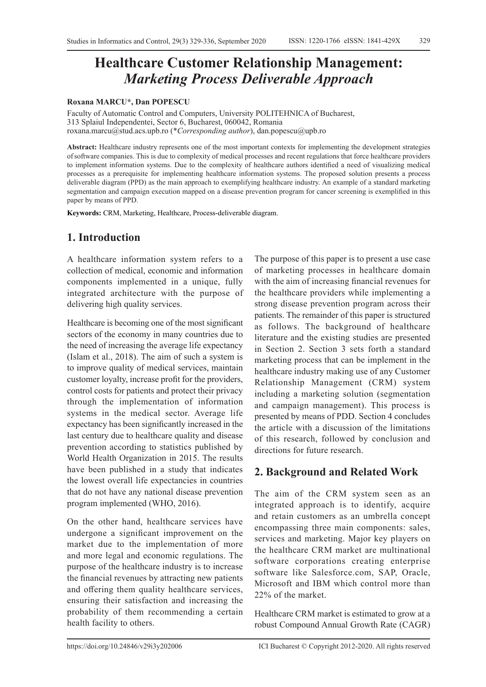# **Healthcare Customer Relationship Management:**  *Marketing Process Deliverable Approach*

#### **Roxana MARCU\*, Dan POPESCU**

Faculty of Automatic Control and Computers, University POLITEHNICA of Bucharest, 313 Splaiul Independentei, Sector 6, Bucharest, 060042, Romania roxana.marcu@stud.acs.upb.ro (\**Corresponding author*), dan.popescu@upb.ro

**Abstract:** Healthcare industry represents one of the most important contexts for implementing the development strategies ofsoftware companies. This is due to complexity of medical processes and recent regulations that force healthcare providers to implement information systems. Due to the complexity of healthcare authors identified a need of visualizing medical processes as a prerequisite for implementing healthcare information systems. The proposed solution presents a process deliverable diagram (PPD) as the main approach to exemplifying healthcare industry. An example of a standard marketing segmentation and campaign execution mapped on a disease prevention program for cancer screening is exemplified in this paper by means of PPD.

**Keywords:** CRM, Marketing, Healthcare, Process-deliverable diagram.

#### **1. Introduction**

A healthcare information system refers to a collection of medical, economic and information components implemented in a unique, fully integrated architecture with the purpose of delivering high quality services.

Healthcare is becoming one of the most significant sectors of the economy in many countries due to the need of increasing the average life expectancy (Islam et al., 2018). The aim of such a system is to improve quality of medical services, maintain customer loyalty, increase profit for the providers, control costs for patients and protect their privacy through the implementation of information systems in the medical sector. Average life expectancy has been significantly increased in the last century due to healthcare quality and disease prevention according to statistics published by World Health Organization in 2015. The results have been published in a study that indicates the lowest overall life expectancies in countries that do not have any national disease prevention program implemented (WHO, 2016).

On the other hand, healthcare services have undergone a significant improvement on the market due to the implementation of more and more legal and economic regulations. The purpose of the healthcare industry is to increase the financial revenues by attracting new patients and offering them quality healthcare services, ensuring their satisfaction and increasing the probability of them recommending a certain health facility to others.

The purpose of this paper is to present a use case of marketing processes in healthcare domain with the aim of increasing financial revenues for the healthcare providers while implementing a strong disease prevention program across their patients. The remainder of this paper is structured as follows. The background of healthcare literature and the existing studies are presented in Section 2. Section 3 sets forth a standard marketing process that can be implement in the healthcare industry making use of any Customer Relationship Management (CRM) system including a marketing solution (segmentation and campaign management). This process is presented by means of PDD. Section 4 concludes the article with a discussion of the limitations of this research, followed by conclusion and directions for future research.

#### **2. Background and Related Work**

The aim of the CRM system seen as an integrated approach is to identify, acquire and retain customers as an umbrella concept encompassing three main components: sales, services and marketing. Major key players on the healthcare CRM market are multinational software corporations creating enterprise software like Salesforce.com, SAP, Oracle, Microsoft and IBM which control more than 22% of the market.

Healthcare CRM market is estimated to grow at a robust Compound Annual Growth Rate (CAGR)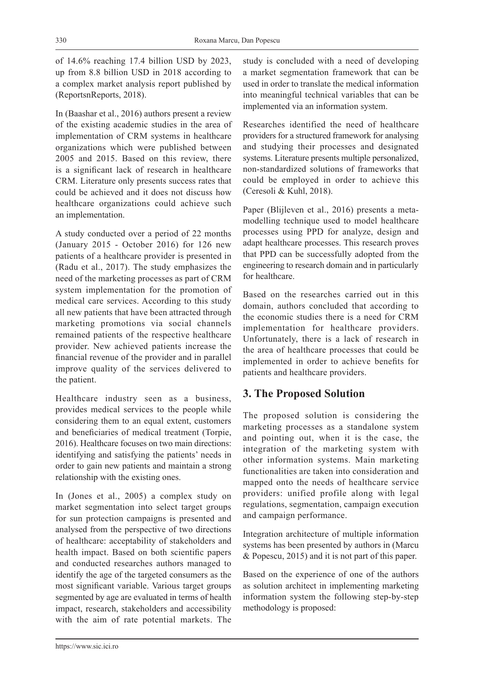of 14.6% reaching 17.4 billion USD by 2023, up from 8.8 billion USD in 2018 according to a complex market analysis report published by (ReportsnReports, 2018).

In (Baashar et al., 2016) authors present a review of the existing academic studies in the area of implementation of CRM systems in healthcare organizations which were published between 2005 and 2015. Based on this review, there is a significant lack of research in healthcare CRM. Literature only presents success rates that could be achieved and it does not discuss how healthcare organizations could achieve such an implementation.

A study conducted over a period of 22 months (January 2015 - October 2016) for 126 new patients of a healthcare provider is presented in (Radu et al., 2017). The study emphasizes the need of the marketing processes as part of CRM system implementation for the promotion of medical care services. According to this study all new patients that have been attracted through marketing promotions via social channels remained patients of the respective healthcare provider. New achieved patients increase the financial revenue of the provider and in parallel improve quality of the services delivered to the patient.

Healthcare industry seen as a business, provides medical services to the people while considering them to an equal extent, customers and beneficiaries of medical treatment (Torpie, 2016). Healthcare focuses on two main directions: identifying and satisfying the patients' needs in order to gain new patients and maintain a strong relationship with the existing ones.

In (Jones et al., 2005) a complex study on market segmentation into select target groups for sun protection campaigns is presented and analysed from the perspective of two directions of healthcare: acceptability of stakeholders and health impact. Based on both scientific papers and conducted researches authors managed to identify the age of the targeted consumers as the most significant variable. Various target groups segmented by age are evaluated in terms of health impact, research, stakeholders and accessibility with the aim of rate potential markets. The study is concluded with a need of developing a market segmentation framework that can be used in order to translate the medical information into meaningful technical variables that can be implemented via an information system.

Researches identified the need of healthcare providers for a structured framework for analysing and studying their processes and designated systems. Literature presents multiple personalized, non-standardized solutions of frameworks that could be employed in order to achieve this (Ceresoli & Kuhl, 2018).

Paper (Blijleven et al., 2016) presents a metamodelling technique used to model healthcare processes using PPD for analyze, design and adapt healthcare processes. This research proves that PPD can be successfully adopted from the engineering to research domain and in particularly for healthcare.

Based on the researches carried out in this domain, authors concluded that according to the economic studies there is a need for CRM implementation for healthcare providers. Unfortunately, there is a lack of research in the area of healthcare processes that could be implemented in order to achieve benefits for patients and healthcare providers.

## **3. The Proposed Solution**

The proposed solution is considering the marketing processes as a standalone system and pointing out, when it is the case, the integration of the marketing system with other information systems. Main marketing functionalities are taken into consideration and mapped onto the needs of healthcare service providers: unified profile along with legal regulations, segmentation, campaign execution and campaign performance.

Integration architecture of multiple information systems has been presented by authors in (Marcu & Popescu, 2015) and it is not part of this paper.

Based on the experience of one of the authors as solution architect in implementing marketing information system the following step-by-step methodology is proposed: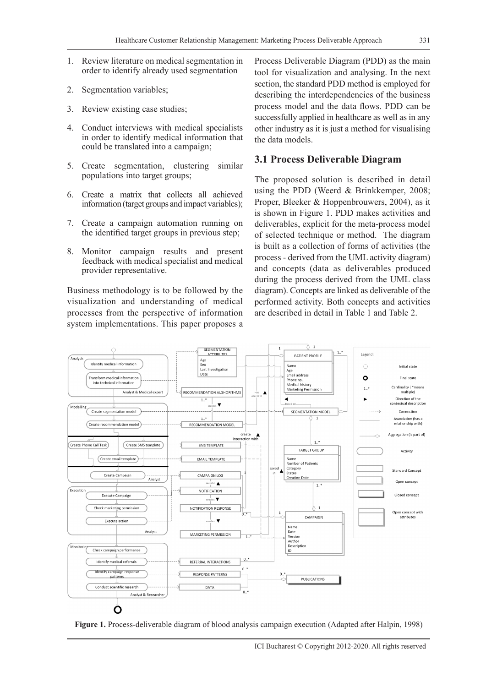331

- 1. Review literature on medical segmentation in order to identify already used segmentation
- 2. Segmentation variables;
- 3. Review existing case studies;
- 4. Conduct interviews with medical specialists in order to identify medical information that could be translated into a campaign;
- 5. Create segmentation, clustering similar populations into target groups;
- 6. Create a matrix that collects all achieved information (target groups and impact variables);
- 7. Create a campaign automation running on the identified target groups in previous step;
- 8. Monitor campaign results and present feedback with medical specialist and medical provider representative.

Business methodology is to be followed by the visualization and understanding of medical processes from the perspective of information system implementations. This paper proposes a Process Deliverable Diagram (PDD) as the main tool for visualization and analysing. In the next section, the standard PDD method is employed for describing the interdependencies of the business process model and the data flows. PDD can be successfully applied in healthcare as well as in any other industry as it is just a method for visualising the data models.

#### **3.1 Process Deliverable Diagram**

The proposed solution is described in detail using the PDD (Weerd & Brinkkemper, 2008; Proper, Bleeker & Hoppenbrouwers, 2004), as it is shown in Figure 1. PDD makes activities and deliverables, explicit for the meta-process model of selected technique or method. The diagram is built as a collection of forms of activities (the process - derived from the UML activity diagram) and concepts (data as deliverables produced during the process derived from the UML class diagram). Concepts are linked as deliverable of the performed activity. Both concepts and activities are described in detail in Table 1 and Table 2.



**Figure 1.** Process-deliverable diagram of blood analysis campaign execution (Adapted after Halpin, 1998)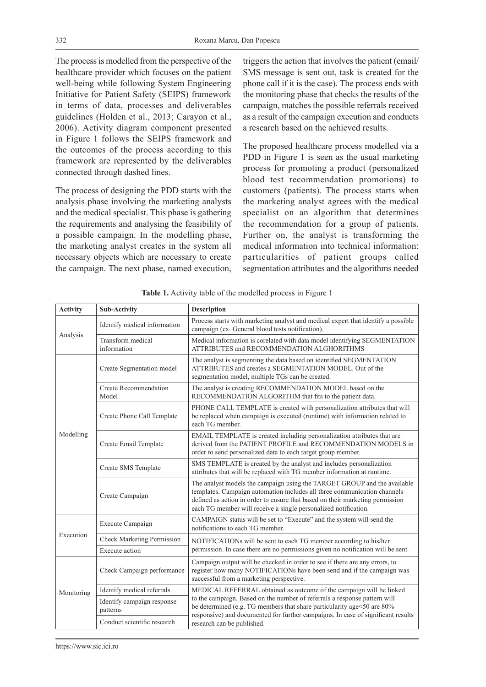The process is modelled from the perspective of the healthcare provider which focuses on the patient well-being while following System Engineering Initiative for Patient Safety (SEIPS) framework in terms of data, processes and deliverables guidelines (Holden et al., 2013; Carayon et al., 2006). Activity diagram component presented in Figure 1 follows the SEIPS framework and the outcomes of the process according to this framework are represented by the deliverables connected through dashed lines.

The process of designing the PDD starts with the analysis phase involving the marketing analysts and the medical specialist. This phase is gathering the requirements and analysing the feasibility of a possible campaign. In the modelling phase, the marketing analyst creates in the system all necessary objects which are necessary to create the campaign. The next phase, named execution,

triggers the action that involves the patient (email/ SMS message is sent out, task is created for the phone call if it is the case). The process ends with the monitoring phase that checks the results of the campaign, matches the possible referrals received as a result of the campaign execution and conducts a research based on the achieved results.

The proposed healthcare process modelled via a PDD in Figure 1 is seen as the usual marketing process for promoting a product (personalized blood test recommendation promotions) to customers (patients). The process starts when the marketing analyst agrees with the medical specialist on an algorithm that determines the recommendation for a group of patients. Further on, the analyst is transforming the medical information into technical information: particularities of patient groups called segmentation attributes and the algorithms needed

| <b>Activity</b> | <b>Sub-Activity</b>                    | <b>Description</b>                                                                                                                                                                                                                                                                                                                           |  |  |
|-----------------|----------------------------------------|----------------------------------------------------------------------------------------------------------------------------------------------------------------------------------------------------------------------------------------------------------------------------------------------------------------------------------------------|--|--|
| Analysis        | Identify medical information           | Process starts with marketing analyst and medical expert that identify a possible<br>campaign (ex. General blood tests notification).                                                                                                                                                                                                        |  |  |
|                 | Transform medical<br>information       | Medical information is corelated with data model identifying SEGMENTATION<br>ATTRIBUTES and RECOMMENDATION ALGHORITHMS                                                                                                                                                                                                                       |  |  |
| Modelling       | Create Segmentation model              | The analyst is segmenting the data based on identified SEGMENTATION<br>ATTRIBUTES and creates a SEGMENTATION MODEL. Out of the<br>segmentation model, multiple TGs can be created.                                                                                                                                                           |  |  |
|                 | <b>Create Recommendation</b><br>Model  | The analyst is creating RECOMMENDATION MODEL based on the<br>RECOMMENDATION ALGORITHM that fits to the patient data.                                                                                                                                                                                                                         |  |  |
|                 | Create Phone Call Template             | PHONE CALL TEMPLATE is created with personalization attributes that will<br>be replaced when campaign is executed (runtime) with information related to<br>each TG member.                                                                                                                                                                   |  |  |
|                 | Create Email Template                  | EMAIL TEMPLATE is created including personalization attributes that are<br>derived from the PATIENT PROFILE and RECOMMENDATION MODELS in<br>order to send personalized data to each target group member.                                                                                                                                     |  |  |
|                 | Create SMS Template                    | SMS TEMPLATE is created by the analyst and includes personalization<br>attributes that will be replaced with TG member information at runtime.                                                                                                                                                                                               |  |  |
|                 | Create Campaign                        | The analyst models the campaign using the TARGET GROUP and the available<br>templates. Campaign automation includes all three communication channels<br>defined as action in order to ensure that based on their marketing permission<br>each TG member will receive a single personalized notification.                                     |  |  |
| Execution       | Execute Campaign                       | CAMPAIGN status will be set to "Execute" and the system will send the<br>notifications to each TG member.                                                                                                                                                                                                                                    |  |  |
|                 | <b>Check Marketing Permission</b>      | NOTIFICATIONs will be sent to each TG member according to his/her                                                                                                                                                                                                                                                                            |  |  |
|                 | Execute action                         | permission. In case there are no permissions given no notification will be sent.                                                                                                                                                                                                                                                             |  |  |
| Monitoring      | Check Campaign performance             | Campaign output will be checked in order to see if there are any errors, to<br>register how many NOTIFICATIONs have been send and if the campaign was<br>successful from a marketing perspective.                                                                                                                                            |  |  |
|                 | Identify medical referrals             | MEDICAL REFERRAL obtained as outcome of the campaign will be linked<br>to the campaign. Based on the number of referrals a response pattern will<br>be determined (e.g. TG members that share particularity age<50 are 80%<br>responsive) and documented for further campaigns. In case of significant results<br>research can be published. |  |  |
|                 | Identify campaign response<br>patterns |                                                                                                                                                                                                                                                                                                                                              |  |  |
|                 | Conduct scientific research            |                                                                                                                                                                                                                                                                                                                                              |  |  |

**Table 1.** Activity table of the modelled process in Figure 1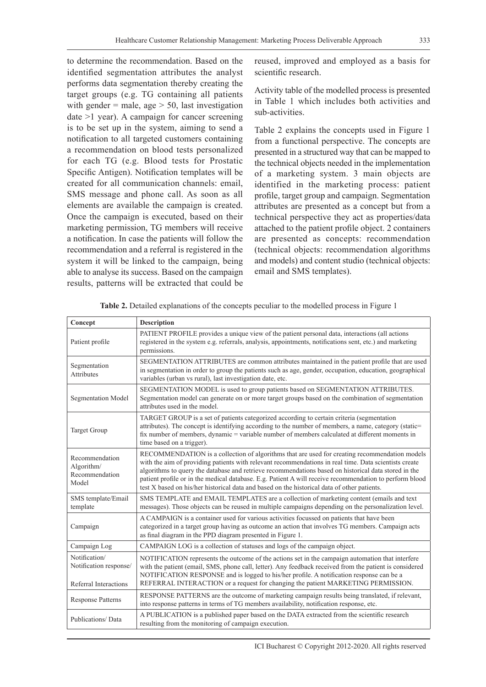to determine the recommendation. Based on the identified segmentation attributes the analyst performs data segmentation thereby creating the target groups (e.g. TG containing all patients with gender  $=$  male, age  $>$  50, last investigation date >1 year). A campaign for cancer screening is to be set up in the system, aiming to send a notification to all targeted customers containing a recommendation on blood tests personalized for each TG (e.g. Blood tests for Prostatic Specific Antigen). Notification templates will be created for all communication channels: email, SMS message and phone call. As soon as all elements are available the campaign is created. Once the campaign is executed, based on their marketing permission, TG members will receive a notification. In case the patients will follow the recommendation and a referral is registered in the system it will be linked to the campaign, being able to analyse its success. Based on the campaign results, patterns will be extracted that could be

reused, improved and employed as a basis for scientific research.

Activity table of the modelled process is presented in Table 1 which includes both activities and sub-activities.

Table 2 explains the concepts used in Figure 1 from a functional perspective. The concepts are presented in a structured way that can be mapped to the technical objects needed in the implementation of a marketing system. 3 main objects are identified in the marketing process: patient profile, target group and campaign. Segmentation attributes are presented as a concept but from a technical perspective they act as properties/data attached to the patient profile object. 2 containers are presented as concepts: recommendation (technical objects: recommendation algorithms and models) and content studio (technical objects: email and SMS templates).

| Concept                                                          | <b>Description</b>                                                                                                                                                                                                                                                                                                                                                                                                                                                                                                       |  |  |  |
|------------------------------------------------------------------|--------------------------------------------------------------------------------------------------------------------------------------------------------------------------------------------------------------------------------------------------------------------------------------------------------------------------------------------------------------------------------------------------------------------------------------------------------------------------------------------------------------------------|--|--|--|
| Patient profile                                                  | PATIENT PROFILE provides a unique view of the patient personal data, interactions (all actions<br>registered in the system e.g. referrals, analysis, appointments, notifications sent, etc.) and marketing<br>permissions.                                                                                                                                                                                                                                                                                               |  |  |  |
| Segmentation<br>Attributes                                       | SEGMENTATION ATTRIBUTES are common attributes maintained in the patient profile that are used<br>in segmentation in order to group the patients such as age, gender, occupation, education, geographical<br>variables (urban vs rural), last investigation date, etc.                                                                                                                                                                                                                                                    |  |  |  |
| <b>Segmentation Model</b>                                        | SEGMENTATION MODEL is used to group patients based on SEGMENTATION ATTRIBUTES.<br>Segmentation model can generate on or more target groups based on the combination of segmentation<br>attributes used in the model.                                                                                                                                                                                                                                                                                                     |  |  |  |
| <b>Target Group</b>                                              | TARGET GROUP is a set of patients categorized according to certain criteria (segmentation<br>attributes). The concept is identifying according to the number of members, a name, category (static=<br>fix number of members, dynamic = variable number of members calculated at different moments in<br>time based on a trigger).                                                                                                                                                                                        |  |  |  |
| Recommendation<br>Algorithm/<br>Recommendation<br>Model          | RECOMMENDATION is a collection of algorithms that are used for creating recommendation models<br>with the aim of providing patients with relevant recommendations in real time. Data scientists create<br>algorithms to query the database and retrieve recommendations based on historical data stored in the<br>patient profile or in the medical database. E.g. Patient A will receive recommendation to perform blood<br>test X based on his/her historical data and based on the historical data of other patients. |  |  |  |
| SMS template/Email<br>template                                   | SMS TEMPLATE and EMAIL TEMPLATES are a collection of marketing content (emails and text<br>messages). Those objects can be reused in multiple campaigns depending on the personalization level.                                                                                                                                                                                                                                                                                                                          |  |  |  |
| Campaign                                                         | A CAMPAIGN is a container used for various activities focussed on patients that have been<br>categorized in a target group having as outcome an action that involves TG members. Campaign acts<br>as final diagram in the PPD diagram presented in Figure 1.                                                                                                                                                                                                                                                             |  |  |  |
| Campaign Log                                                     | CAMPAIGN LOG is a collection of statuses and logs of the campaign object.                                                                                                                                                                                                                                                                                                                                                                                                                                                |  |  |  |
| Notification/<br>Notification response/<br>Referral Interactions | NOTIFICATION represents the outcome of the actions set in the campaign automation that interfere<br>with the patient (email, SMS, phone call, letter). Any feedback received from the patient is considered<br>NOTIFICATION RESPONSE and is logged to his/her profile. A notification response can be a<br>REFERRAL INTERACTION or a request for changing the patient MARKETING PERMISSION.                                                                                                                              |  |  |  |
| <b>Response Patterns</b>                                         | RESPONSE PATTERNS are the outcome of marketing campaign results being translated, if relevant,<br>into response patterns in terms of TG members availability, notification response, etc.                                                                                                                                                                                                                                                                                                                                |  |  |  |
| Publications/Data                                                | A PUBLICATION is a published paper based on the DATA extracted from the scientific research<br>resulting from the monitoring of campaign execution.                                                                                                                                                                                                                                                                                                                                                                      |  |  |  |

**Table 2.** Detailed explanations of the concepts peculiar to the modelled process in Figure 1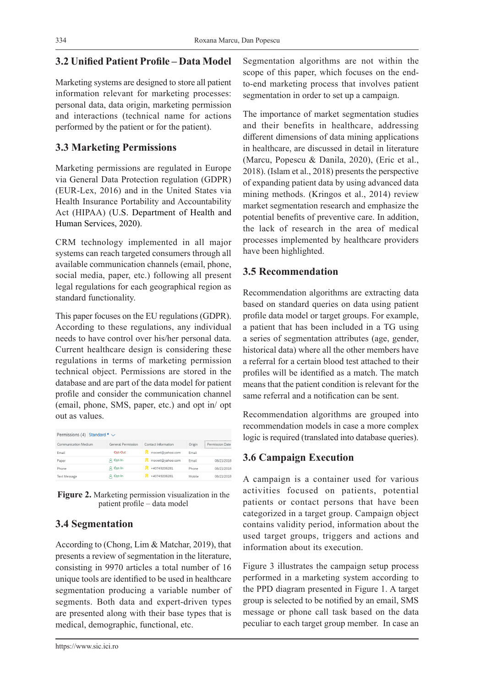## **3.2 Unified Patient Profile – Data Model**

Marketing systems are designed to store all patient information relevant for marketing processes: personal data, data origin, marketing permission and interactions (technical name for actions performed by the patient or for the patient).

#### **3.3 Marketing Permissions**

Marketing permissions are regulated in Europe via General Data Protection regulation (GDPR) (EUR-Lex, 2016) and in the United States via Health Insurance Portability and Accountability Act (HIPAA) (U.S. Department of Health and Human Services, 2020).

CRM technology implemented in all major systems can reach targeted consumers through all available communication channels (email, phone, social media, paper, etc.) following all present legal regulations for each geographical region as standard functionality.

This paper focuses on the EU regulations (GDPR). According to these regulations, any individual needs to have control over his/her personal data. Current healthcare design is considering these regulations in terms of marketing permission technical object. Permissions are stored in the database and are part of the data model for patient profile and consider the communication channel (email, phone, SMS, paper, etc.) and opt in/ opt out as values.

| Permissions (4) Standard * $\vee$ |                    |                     |        |                     |  |  |  |
|-----------------------------------|--------------------|---------------------|--------|---------------------|--|--|--|
| Communication Medium              | General Permission | Contact Information | Origin | Permission Date<br> |  |  |  |
| Email                             | Opt-Out            | rroxxet@vahoo.com   | Email  |                     |  |  |  |
| Paper                             | A Opt-In           | rroxxet@yahoo.com   | Email  | 08/21/2018          |  |  |  |
| Phone                             | Opt-In<br>8.       | +40749206281        | Phone  | 08/21/2018          |  |  |  |
| <b>Text Message</b>               | A Opt-In           | +40749206281        | Mobile | 08/21/2018          |  |  |  |
|                                   |                    |                     |        |                     |  |  |  |

**Figure 2.** Marketing permission visualization in the patient profile – data model

# **3.4 Segmentation**

According to (Chong, Lim & Matchar, 2019), that presents a review of segmentation in the literature, consisting in 9970 articles a total number of 16 unique tools are identified to be used in healthcare segmentation producing a variable number of segments. Both data and expert-driven types are presented along with their base types that is medical, demographic, functional, etc.

The importance of market segmentation studies and their benefits in healthcare, addressing different dimensions of data mining applications in healthcare, are discussed in detail in literature (Marcu, Popescu & Danila, 2020), (Eric et al., 2018). (Islam et al., 2018) presents the perspective of expanding patient data by using advanced data mining methods. (Kringos et al., 2014) review market segmentation research and emphasize the potential benefits of preventive care. In addition, the lack of research in the area of medical processes implemented by healthcare providers have been highlighted.

### **3.5 Recommendation**

Recommendation algorithms are extracting data based on standard queries on data using patient profile data model or target groups. For example, a patient that has been included in a TG using a series of segmentation attributes (age, gender, historical data) where all the other members have a referral for a certain blood test attached to their profiles will be identified as a match. The match means that the patient condition is relevant for the same referral and a notification can be sent.

Recommendation algorithms are grouped into recommendation models in case a more complex logic is required (translated into database queries).

## **3.6 Campaign Execution**

A campaign is a container used for various activities focused on patients, potential patients or contact persons that have been categorized in a target group. Campaign object contains validity period, information about the used target groups, triggers and actions and information about its execution.

Figure 3 illustrates the campaign setup process performed in a marketing system according to the PPD diagram presented in Figure 1. A target group is selected to be notified by an email, SMS message or phone call task based on the data peculiar to each target group member. In case an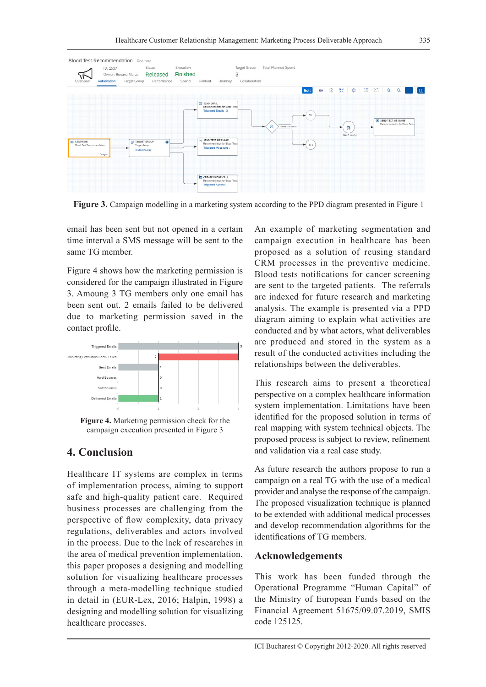

**Figure 3.** Campaign modelling in a marketing system according to the PPD diagram presented in Figure 1

email has been sent but not opened in a certain time interval a SMS message will be sent to the same TG member.

Figure 4 shows how the marketing permission is considered for the campaign illustrated in Figure 3. Amoung 3 TG members only one email has been sent out. 2 emails failed to be delivered due to marketing permission saved in the contact profile.



**Figure 4.** Marketing permission check for the campaign execution presented in Figure 3

#### **4. Conclusion**

Healthcare IT systems are complex in terms of implementation process, aiming to support safe and high-quality patient care. Required business processes are challenging from the perspective of flow complexity, data privacy regulations, deliverables and actors involved in the process. Due to the lack of researches in the area of medical prevention implementation, this paper proposes a designing and modelling solution for visualizing healthcare processes through a meta-modelling technique studied in detail in (EUR-Lex, 2016; Halpin, 1998) a designing and modelling solution for visualizing healthcare processes.

An example of marketing segmentation and campaign execution in healthcare has been proposed as a solution of reusing standard CRM processes in the preventive medicine. Blood tests notifications for cancer screening are sent to the targeted patients. The referrals are indexed for future research and marketing analysis. The example is presented via a PPD diagram aiming to explain what activities are conducted and by what actors, what deliverables are produced and stored in the system as a result of the conducted activities including the relationships between the deliverables.

This research aims to present a theoretical perspective on a complex healthcare information system implementation. Limitations have been identified for the proposed solution in terms of real mapping with system technical objects. The proposed process is subject to review, refinement and validation via a real case study.

As future research the authors propose to run a campaign on a real TG with the use of a medical provider and analyse the response of the campaign. The proposed visualization technique is planned to be extended with additional medical processes and develop recommendation algorithms for the identifications of TG members.

#### **Acknowledgements**

This work has been funded through the Operational Programme "Human Capital" of the Ministry of European Funds based on the Financial Agreement 51675/09.07.2019, SMIS code 125125.